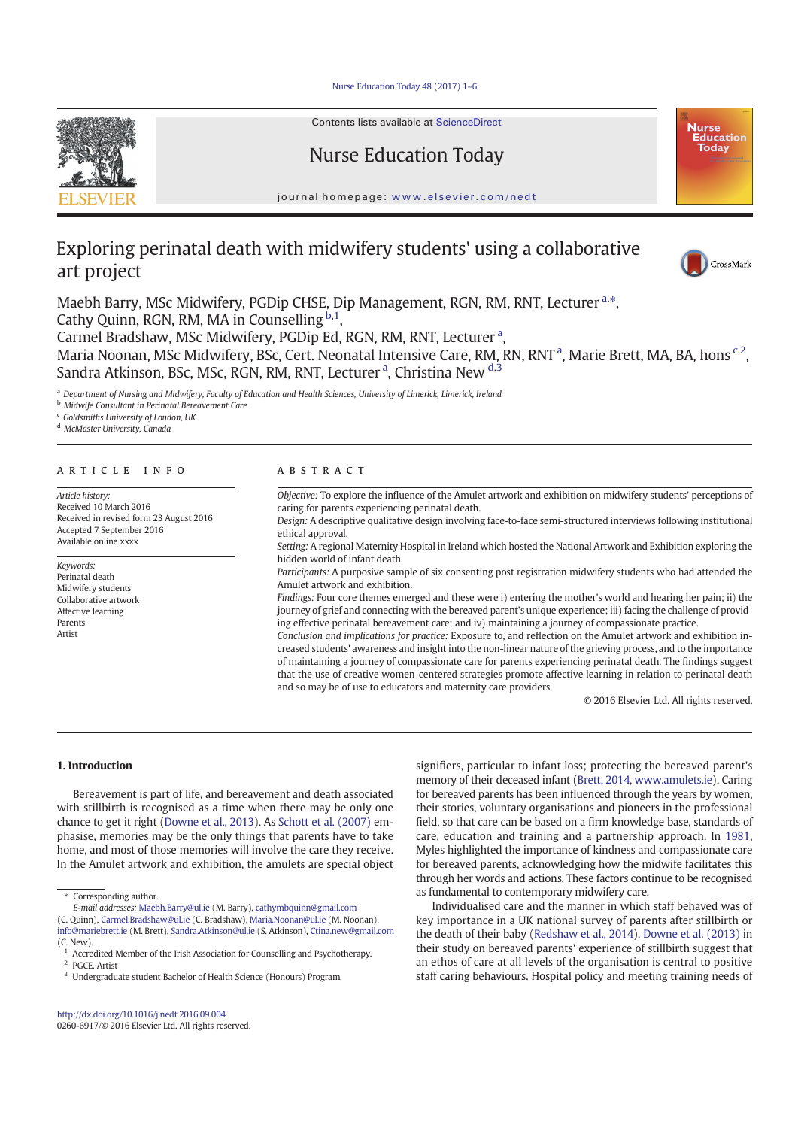Nurse Education Today 48 (2017) 1–6



Contents lists available at ScienceDirect

Nurse Education Today

journal homepage:www.elsevier.com/nedt

# Exploring perinatal death with midwifery students' using a collaborative art project



Nurse **Education Today** 

Maebh Barry, MSc Midwifery, PGDip CHSE, Dip Management, RGN, RM, RNT, Lecturer<sup>a,\*</sup>, Cathy Quinn, RGN, RM, MA in Counselling b,1, Carmel Bradshaw, MSc Midwifery, PGDip Ed, RGN, RM, RNT, Lecturer<sup>a</sup>, Maria Noonan, MSc Midwifery, BSc, Cert. Neonatal Intensive Care, RM, RN, RNT<sup>a</sup>, Marie Brett, MA, BA, hons <sup>c,2</sup>, Sandra Atkinson, BSc, MSc, RGN, RM, RNT, Lecturer<sup>a</sup>, Christina New <sup>d,3</sup>

a Department of Nursing and Midwifery, Faculty of Education and Health Sciences, University of Limerick, Limerick, Ireland

**b** Midwife Consultant in Perinatal Bereavement Care

<sup>c</sup> Goldsmiths University of London, UK

<sup>d</sup> McMaster University, Canada

## article info abstract

Article history: Received 10 March 2016 Received in revised form 23 August 2016 Accepted 7 September 2016 Available online xxxx

Keywords: Perinatal death Midwifery students Collaborative artwork Affective learning Parents Artist

Objective: To explore the influence of the Amulet artwork and exhibition on midwifery students' perceptions of caring for parents experiencing perinatal death.

Design: A descriptive qualitative design involving face-to-face semi-structured interviews following institutional ethical approval.

Setting: A regional Maternity Hospital in Ireland which hosted the National Artwork and Exhibition exploring the hidden world of infant death.

Participants: A purposive sample of six consenting post registration midwifery students who had attended the Amulet artwork and exhibition.

Findings: Four core themes emerged and these were i) entering the mother's world and hearing her pain; ii) the journey of grief and connecting with the bereaved parent's unique experience; iii) facing the challenge of providing effective perinatal bereavement care; and iv) maintaining a journey of compassionate practice.

Conclusion and implications for practice: Exposure to, and reflection on the Amulet artwork and exhibition increased students' awareness and insight into the non-linear nature of the grieving process, and to the importance of maintaining a journey of compassionate care for parents experiencing perinatal death. The findings suggest that the use of creative women-centered strategies promote affective learning in relation to perinatal death and so may be of use to educators and maternity care providers.

© 2016 Elsevier Ltd. All rights reserved.

1. Introduction

Bereavement is part of life, and bereavement and death associated with stillbirth is recognised as a time when there may be only one chance to get it right (Downe et al., 2013). As Schott et al. (2007) emphasise, memories may be the only things that parents have to take home, and most of those memories will involve the care they receive. In the Amulet artwork and exhibition, the amulets are special object

E-mail addresses: Maebh.Barry@ul.ie (M. Barry), cathymbquinn@gmail.com

(C. Quinn), Carmel.Bradshaw@ul.ie (C. Bradshaw), Maria.Noonan@ul.ie (M. Noonan),

info@mariebrett.ie (M. Brett), Sandra.Atkinson@ul.ie (S. Atkinson), Ctina.new@gmail.com (C. New).

signifiers, particular to infant loss; protecting the bereaved parent's memory of their deceased infant (Brett, 2014, www.amulets.ie). Caring for bereaved parents has been influenced through the years by women, their stories, voluntary organisations and pioneers in the professional field, so that care can be based on a firm knowledge base, standards of care, education and training and a partnership approach. In 1981, Myles highlighted the importance of kindness and compassionate care for bereaved parents, acknowledging how the midwife facilitates this through her words and actions. These factors continue to be recognised as fundamental to contemporary midwifery care.

Individualised care and the manner in which staff behaved was of key importance in a UK national survey of parents after stillbirth or the death of their baby (Redshaw et al., 2014). Downe et al. (2013) in their study on bereaved parents' experience of stillbirth suggest that an ethos of care at all levels of the organisation is central to positive staff caring behaviours. Hospital policy and meeting training needs of

Corresponding author.

Accredited Member of the Irish Association for Counselling and Psychotherapy.  $2$  PGCE. Artist

<sup>3</sup> Undergraduate student Bachelor of Health Science (Honours) Program.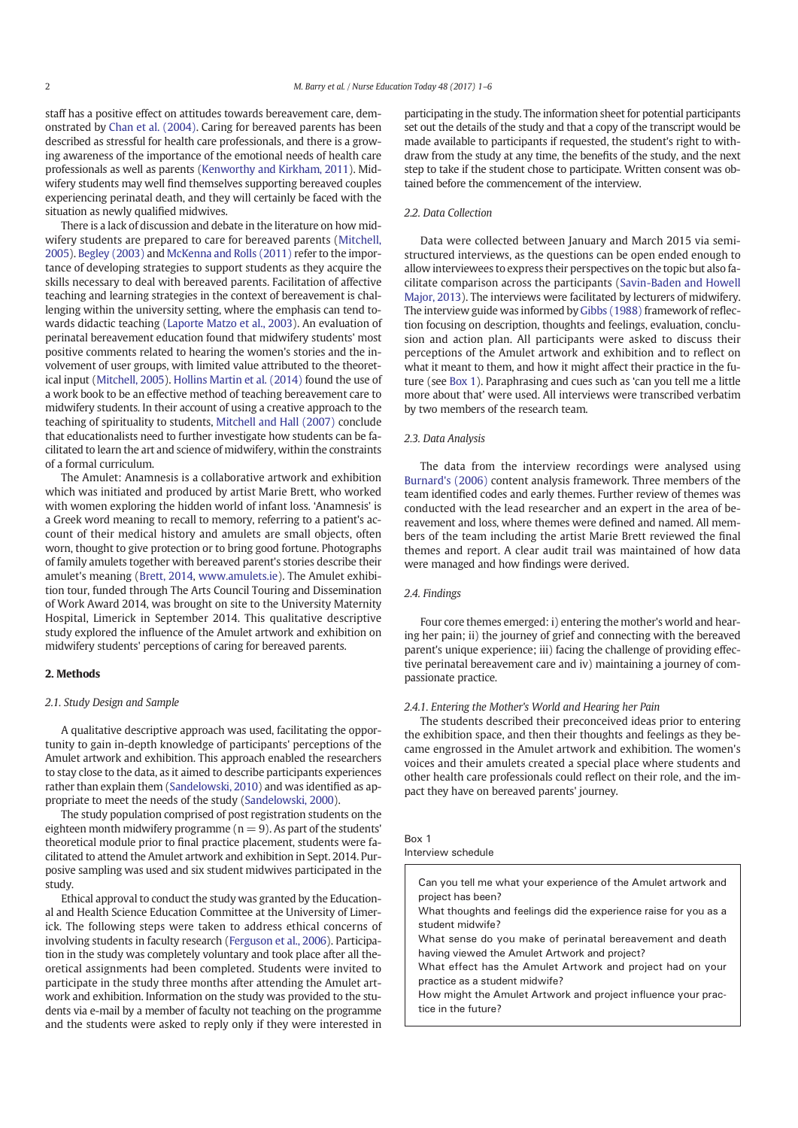staff has a positive effect on attitudes towards bereavement care, demonstrated by Chan et al. (2004). Caring for bereaved parents has been described as stressful for health care professionals, and there is a growing awareness of the importance of the emotional needs of health care professionals as well as parents (Kenworthy and Kirkham, 2011). Midwifery students may well find themselves supporting bereaved couples experiencing perinatal death, and they will certainly be faced with the situation as newly qualified midwives.

There is a lack of discussion and debate in the literature on how midwifery students are prepared to care for bereaved parents (Mitchell, 2005). Begley (2003) and McKenna and Rolls (2011) refer to the importance of developing strategies to support students as they acquire the skills necessary to deal with bereaved parents. Facilitation of affective teaching and learning strategies in the context of bereavement is challenging within the university setting, where the emphasis can tend towards didactic teaching (Laporte Matzo et al., 2003). An evaluation of perinatal bereavement education found that midwifery students' most positive comments related to hearing the women's stories and the involvement of user groups, with limited value attributed to the theoretical input (Mitchell, 2005). Hollins Martin et al. (2014) found the use of a work book to be an effective method of teaching bereavement care to midwifery students. In their account of using a creative approach to the teaching of spirituality to students, Mitchell and Hall (2007) conclude that educationalists need to further investigate how students can be facilitated to learn the art and science of midwifery, within the constraints of a formal curriculum.

The Amulet: Anamnesis is a collaborative artwork and exhibition which was initiated and produced by artist Marie Brett, who worked with women exploring the hidden world of infant loss. 'Anamnesis' is a Greek word meaning to recall to memory, referring to a patient's account of their medical history and amulets are small objects, often worn, thought to give protection or to bring good fortune. Photographs of family amulets together with bereaved parent's stories describe their amulet's meaning (Brett, 2014, www.amulets.ie). The Amulet exhibition tour, funded through The Arts Council Touring and Dissemination of Work Award 2014, was brought on site to the University Maternity Hospital, Limerick in September 2014. This qualitative descriptive study explored the influence of the Amulet artwork and exhibition on midwifery students' perceptions of caring for bereaved parents.

# 2. Methods

# 2.1. Study Design and Sample

A qualitative descriptive approach was used, facilitating the opportunity to gain in-depth knowledge of participants' perceptions of the Amulet artwork and exhibition. This approach enabled the researchers to stay close to the data, as it aimed to describe participants experiences rather than explain them (Sandelowski, 2010) and was identified as appropriate to meet the needs of the study (Sandelowski, 2000).

The study population comprised of post registration students on the eighteen month midwifery programme ( $n = 9$ ). As part of the students' theoretical module prior to final practice placement, students were facilitated to attend the Amulet artwork and exhibition in Sept. 2014. Purposive sampling was used and six student midwives participated in the study.

Ethical approval to conduct the study was granted by the Educational and Health Science Education Committee at the University of Limerick. The following steps were taken to address ethical concerns of involving students in faculty research (Ferguson et al., 2006). Participation in the study was completely voluntary and took place after all theoretical assignments had been completed. Students were invited to participate in the study three months after attending the Amulet artwork and exhibition. Information on the study was provided to the students via e-mail by a member of faculty not teaching on the programme and the students were asked to reply only if they were interested in

participating in the study. The information sheet for potential participants set out the details of the study and that a copy of the transcript would be made available to participants if requested, the student's right to withdraw from the study at any time, the benefits of the study, and the next step to take if the student chose to participate. Written consent was obtained before the commencement of the interview.

#### 2.2. Data Collection

Data were collected between January and March 2015 via semistructured interviews, as the questions can be open ended enough to allow interviewees to express their perspectives on the topic but also facilitate comparison across the participants (Savin-Baden and Howell Major, 2013). The interviews were facilitated by lecturers of midwifery. The interview guide was informed by Gibbs (1988) framework of reflection focusing on description, thoughts and feelings, evaluation, conclusion and action plan. All participants were asked to discuss their perceptions of the Amulet artwork and exhibition and to reflect on what it meant to them, and how it might affect their practice in the future (see Box 1). Paraphrasing and cues such as 'can you tell me a little more about that' were used. All interviews were transcribed verbatim by two members of the research team.

#### 2.3. Data Analysis

The data from the interview recordings were analysed using Burnard's (2006) content analysis framework. Three members of the team identified codes and early themes. Further review of themes was conducted with the lead researcher and an expert in the area of bereavement and loss, where themes were defined and named. All members of the team including the artist Marie Brett reviewed the final themes and report. A clear audit trail was maintained of how data were managed and how findings were derived.

# 2.4. Findings

Four core themes emerged: i) entering the mother's world and hearing her pain; ii) the journey of grief and connecting with the bereaved parent's unique experience; iii) facing the challenge of providing effective perinatal bereavement care and iv) maintaining a journey of compassionate practice.

### 2.4.1. Entering the Mother's World and Hearing her Pain

The students described their preconceived ideas prior to entering the exhibition space, and then their thoughts and feelings as they became engrossed in the Amulet artwork and exhibition. The women's voices and their amulets created a special place where students and other health care professionals could reflect on their role, and the impact they have on bereaved parents' journey.

| Box 1              |  |
|--------------------|--|
| Interview schedule |  |

| Can you tell me what your experience of the Amulet artwork and   |
|------------------------------------------------------------------|
| project has been?                                                |
| What thoughts and feelings did the experience raise for you as a |
| student midwife?                                                 |
| What sense do you make of perinatal bereavement and death        |
| having viewed the Amulet Artwork and project?                    |
| What effect has the Amulet Artwork and project had on your       |
| practice as a student midwife?                                   |
| How might the Amulet Artwork and project influence your prac-    |
| tice in the future?                                              |
|                                                                  |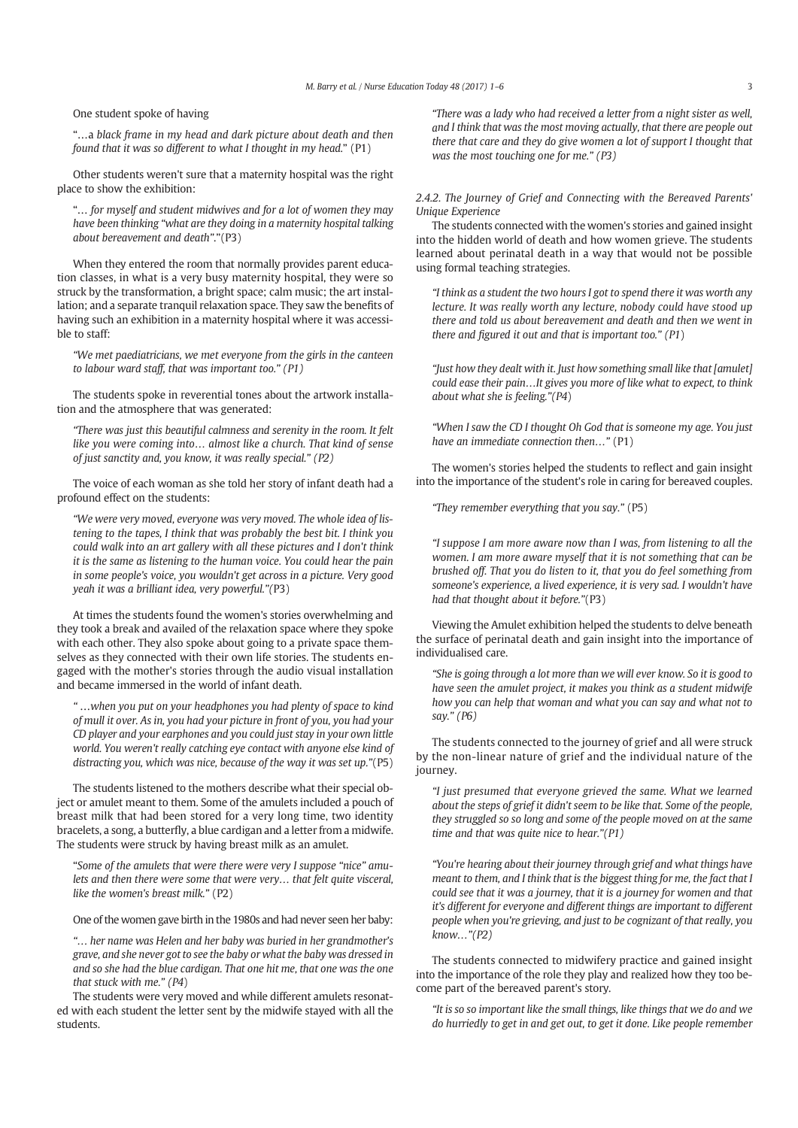One student spoke of having

"…a black frame in my head and dark picture about death and then found that it was so different to what I thought in my head." (P1)

Other students weren't sure that a maternity hospital was the right place to show the exhibition:

"… for myself and student midwives and for a lot of women they may have been thinking "what are they doing in a maternity hospital talking about bereavement and death"."(P3)

When they entered the room that normally provides parent education classes, in what is a very busy maternity hospital, they were so struck by the transformation, a bright space; calm music; the art installation; and a separate tranquil relaxation space. They saw the benefits of having such an exhibition in a maternity hospital where it was accessible to staff:

"We met paediatricians, we met everyone from the girls in the canteen to labour ward staff, that was important too." (P1)

The students spoke in reverential tones about the artwork installation and the atmosphere that was generated:

"There was just this beautiful calmness and serenity in the room. It felt like you were coming into… almost like a church. That kind of sense of just sanctity and, you know, it was really special." (P2)

The voice of each woman as she told her story of infant death had a profound effect on the students:

"We were very moved, everyone was very moved. The whole idea of listening to the tapes, I think that was probably the best bit. I think you could walk into an art gallery with all these pictures and I don't think it is the same as listening to the human voice. You could hear the pain in some people's voice, you wouldn't get across in a picture. Very good yeah it was a brilliant idea, very powerful."(P3)

At times the students found the women's stories overwhelming and they took a break and availed of the relaxation space where they spoke with each other. They also spoke about going to a private space themselves as they connected with their own life stories. The students engaged with the mother's stories through the audio visual installation and became immersed in the world of infant death.

" …when you put on your headphones you had plenty of space to kind of mull it over. As in, you had your picture in front of you, you had your CD player and your earphones and you could just stay in your own little world. You weren't really catching eye contact with anyone else kind of distracting you, which was nice, because of the way it was set up."(P5)

The students listened to the mothers describe what their special object or amulet meant to them. Some of the amulets included a pouch of breast milk that had been stored for a very long time, two identity bracelets, a song, a butterfly, a blue cardigan and a letter from a midwife. The students were struck by having breast milk as an amulet.

"Some of the amulets that were there were very I suppose "nice" amulets and then there were some that were very… that felt quite visceral, like the women's breast milk." (P2)

One of the women gave birth in the 1980s and had never seen her baby:

"… her name was Helen and her baby was buried in her grandmother's grave, and she never got to see the baby or what the baby was dressed in and so she had the blue cardigan. That one hit me, that one was the one that stuck with me." (P4)

The students were very moved and while different amulets resonated with each student the letter sent by the midwife stayed with all the students.

"There was a lady who had received a letter from a night sister as well, and I think that was the most moving actually, that there are people out there that care and they do give women a lot of support I thought that was the most touching one for me." (P3)

2.4.2. The Journey of Grief and Connecting with the Bereaved Parents' Unique Experience

The students connected with the women's stories and gained insight into the hidden world of death and how women grieve. The students learned about perinatal death in a way that would not be possible using formal teaching strategies.

"I think as a student the two hours I got to spend there it was worth any lecture. It was really worth any lecture, nobody could have stood up there and told us about bereavement and death and then we went in there and figured it out and that is important too." (P1)

"Just how they dealt with it. Just how something small like that [amulet] could ease their pain…It gives you more of like what to expect, to think about what she is feeling."(P4)

"When I saw the CD I thought Oh God that is someone my age. You just have an immediate connection then…" (P1)

The women's stories helped the students to reflect and gain insight into the importance of the student's role in caring for bereaved couples.

"They remember everything that you say." (P5)

"I suppose I am more aware now than I was, from listening to all the women. I am more aware myself that it is not something that can be brushed off. That you do listen to it, that you do feel something from someone's experience, a lived experience, it is very sad. I wouldn't have had that thought about it before."(P3)

Viewing the Amulet exhibition helped the students to delve beneath the surface of perinatal death and gain insight into the importance of individualised care.

"She is going through a lot more than we will ever know. So it is good to have seen the amulet project, it makes you think as a student midwife how you can help that woman and what you can say and what not to say." (P6)

The students connected to the journey of grief and all were struck by the non-linear nature of grief and the individual nature of the journey.

"I just presumed that everyone grieved the same. What we learned about the steps of grief it didn't seem to be like that. Some of the people, they struggled so so long and some of the people moved on at the same time and that was quite nice to hear."(P1)

"You're hearing about their journey through grief and what things have meant to them, and I think that is the biggest thing for me, the fact that I could see that it was a journey, that it is a journey for women and that it's different for everyone and different things are important to different people when you're grieving, and just to be cognizant of that really, you know…"(P2)

The students connected to midwifery practice and gained insight into the importance of the role they play and realized how they too become part of the bereaved parent's story.

"It is so so important like the small things, like things that we do and we do hurriedly to get in and get out, to get it done. Like people remember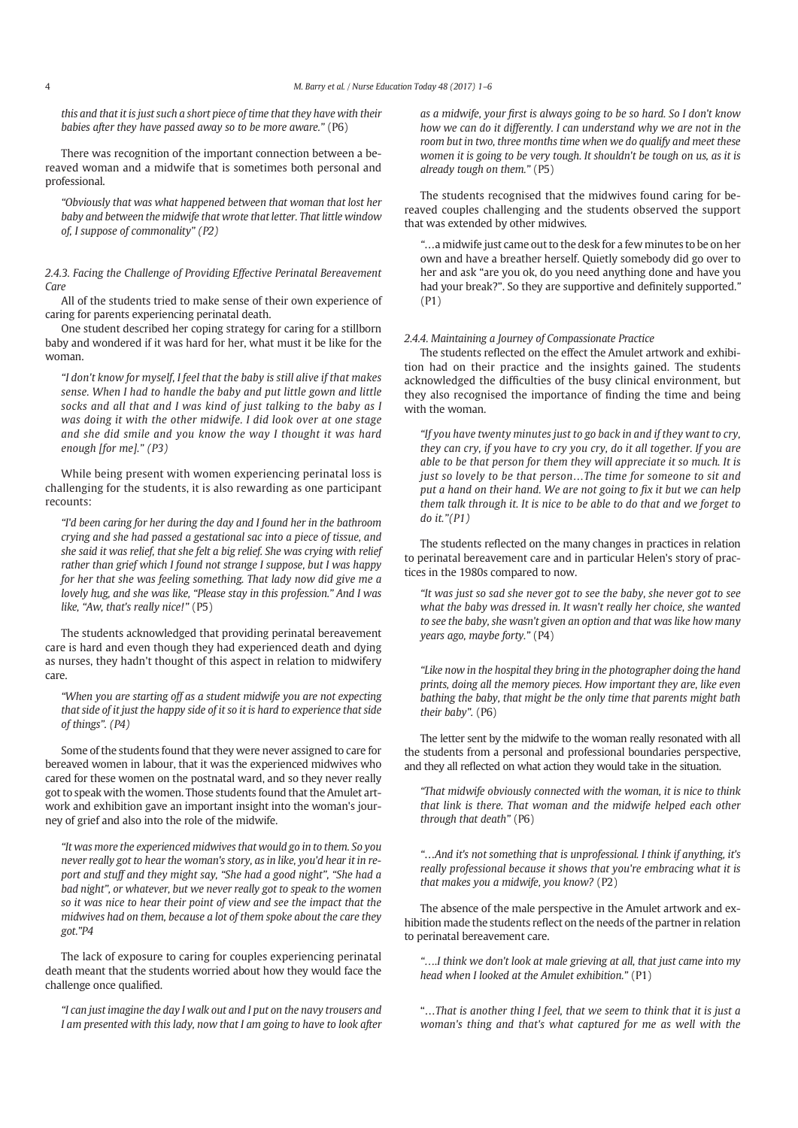this and that it is just such a short piece of time that they have with their babies after they have passed away so to be more aware." (P6)

There was recognition of the important connection between a bereaved woman and a midwife that is sometimes both personal and professional.

"Obviously that was what happened between that woman that lost her baby and between the midwife that wrote that letter. That little window of, I suppose of commonality" (P2)

2.4.3. Facing the Challenge of Providing Effective Perinatal Bereavement Care

All of the students tried to make sense of their own experience of caring for parents experiencing perinatal death.

One student described her coping strategy for caring for a stillborn baby and wondered if it was hard for her, what must it be like for the woman.

"I don't know for myself, I feel that the baby is still alive if that makes sense. When I had to handle the baby and put little gown and little socks and all that and I was kind of just talking to the baby as I was doing it with the other midwife. I did look over at one stage and she did smile and you know the way I thought it was hard enough [for me]." (P3)

While being present with women experiencing perinatal loss is challenging for the students, it is also rewarding as one participant recounts:

"I'd been caring for her during the day and I found her in the bathroom crying and she had passed a gestational sac into a piece of tissue, and she said it was relief, that she felt a big relief. She was crying with relief rather than grief which I found not strange I suppose, but I was happy for her that she was feeling something. That lady now did give me a lovely hug, and she was like, "Please stay in this profession." And I was like, "Aw, that's really nice!" (P5)

The students acknowledged that providing perinatal bereavement care is hard and even though they had experienced death and dying as nurses, they hadn't thought of this aspect in relation to midwifery care.

"When you are starting off as a student midwife you are not expecting that side of it just the happy side of it so it is hard to experience that side of things". (P4)

Some of the students found that they were never assigned to care for bereaved women in labour, that it was the experienced midwives who cared for these women on the postnatal ward, and so they never really got to speak with the women. Those students found that the Amulet artwork and exhibition gave an important insight into the woman's journey of grief and also into the role of the midwife.

"It was more the experienced midwives that would go in to them. So you never really got to hear the woman's story, as in like, you'd hear it in report and stuff and they might say, "She had a good night", "She had a bad night", or whatever, but we never really got to speak to the women so it was nice to hear their point of view and see the impact that the midwives had on them, because a lot of them spoke about the care they got."P4

The lack of exposure to caring for couples experiencing perinatal death meant that the students worried about how they would face the challenge once qualified.

"I can just imagine the day I walk out and I put on the navy trousers and I am presented with this lady, now that I am going to have to look after as a midwife, your first is always going to be so hard. So I don't know how we can do it differently. I can understand why we are not in the room but in two, three months time when we do qualify and meet these women it is going to be very tough. It shouldn't be tough on us, as it is already tough on them." (P5)

The students recognised that the midwives found caring for bereaved couples challenging and the students observed the support that was extended by other midwives.

"…a midwife just came out to the desk for a few minutes to be on her own and have a breather herself. Quietly somebody did go over to her and ask "are you ok, do you need anything done and have you had your break?". So they are supportive and definitely supported." (P1)

# 2.4.4. Maintaining a Journey of Compassionate Practice

The students reflected on the effect the Amulet artwork and exhibition had on their practice and the insights gained. The students acknowledged the difficulties of the busy clinical environment, but they also recognised the importance of finding the time and being with the woman.

"If you have twenty minutes just to go back in and if they want to cry, they can cry, if you have to cry you cry, do it all together. If you are able to be that person for them they will appreciate it so much. It is just so lovely to be that person…The time for someone to sit and put a hand on their hand. We are not going to fix it but we can help them talk through it. It is nice to be able to do that and we forget to do it."(P1)

The students reflected on the many changes in practices in relation to perinatal bereavement care and in particular Helen's story of practices in the 1980s compared to now.

"It was just so sad she never got to see the baby, she never got to see what the baby was dressed in. It wasn't really her choice, she wanted to see the baby, she wasn't given an option and that was like how many years ago, maybe forty." (P4)

"Like now in the hospital they bring in the photographer doing the hand prints, doing all the memory pieces. How important they are, like even bathing the baby, that might be the only time that parents might bath their baby". (P6)

The letter sent by the midwife to the woman really resonated with all the students from a personal and professional boundaries perspective, and they all reflected on what action they would take in the situation.

"That midwife obviously connected with the woman, it is nice to think that link is there. That woman and the midwife helped each other through that death" (P6)

"…And it's not something that is unprofessional. I think if anything, it's really professional because it shows that you're embracing what it is that makes you a midwife, you know? (P2)

The absence of the male perspective in the Amulet artwork and exhibition made the students reflect on the needs of the partner in relation to perinatal bereavement care.

"….I think we don't look at male grieving at all, that just came into my head when I looked at the Amulet exhibition." (P1)

"…That is another thing I feel, that we seem to think that it is just a woman's thing and that's what captured for me as well with the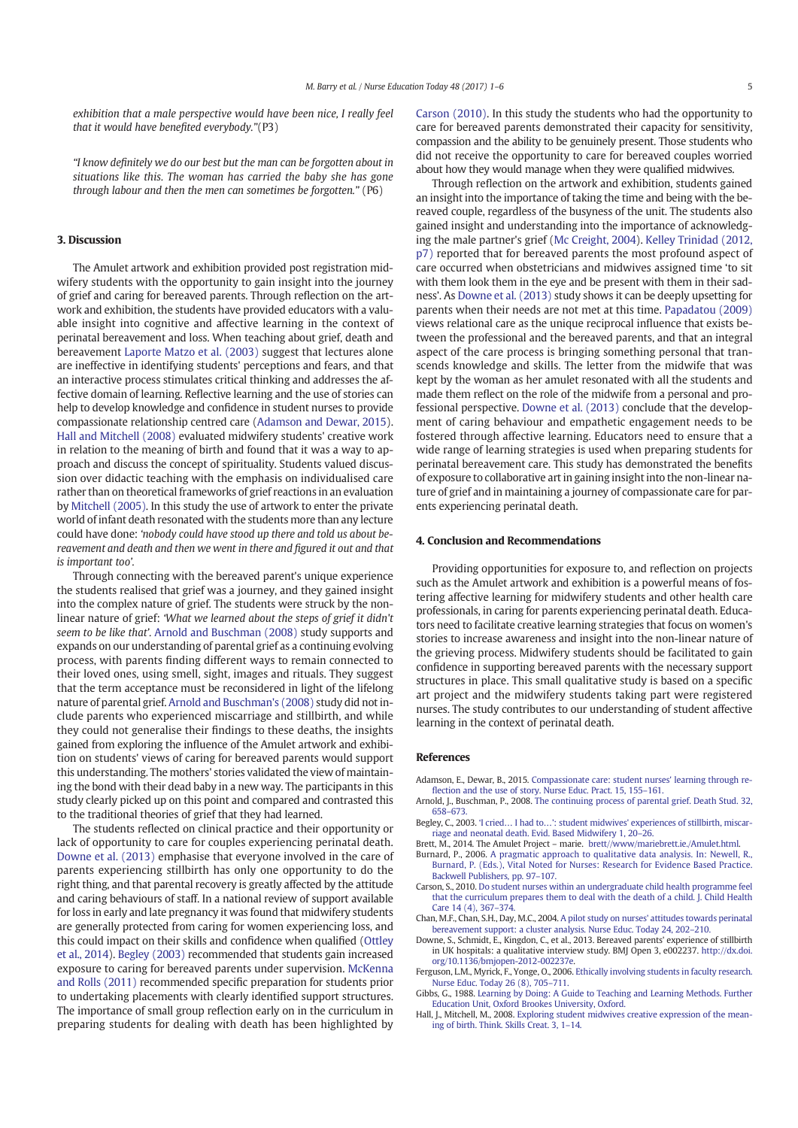exhibition that a male perspective would have been nice, I really feel that it would have benefited everybody."(P3)

"I know definitely we do our best but the man can be forgotten about in situations like this. The woman has carried the baby she has gone through labour and then the men can sometimes be forgotten." (P6)

# 3. Discussion

The Amulet artwork and exhibition provided post registration midwifery students with the opportunity to gain insight into the journey of grief and caring for bereaved parents. Through reflection on the artwork and exhibition, the students have provided educators with a valuable insight into cognitive and affective learning in the context of perinatal bereavement and loss. When teaching about grief, death and bereavement Laporte Matzo et al. (2003) suggest that lectures alone are ineffective in identifying students' perceptions and fears, and that an interactive process stimulates critical thinking and addresses the affective domain of learning. Reflective learning and the use of stories can help to develop knowledge and confidence in student nurses to provide compassionate relationship centred care (Adamson and Dewar, 2015). Hall and Mitchell (2008) evaluated midwifery students' creative work in relation to the meaning of birth and found that it was a way to approach and discuss the concept of spirituality. Students valued discussion over didactic teaching with the emphasis on individualised care rather than on theoretical frameworks of grief reactions in an evaluation by Mitchell (2005). In this study the use of artwork to enter the private world of infant death resonated with the students more than any lecture could have done: 'nobody could have stood up there and told us about bereavement and death and then we went in there and figured it out and that is important too'.

Through connecting with the bereaved parent's unique experience the students realised that grief was a journey, and they gained insight into the complex nature of grief. The students were struck by the nonlinear nature of grief: 'What we learned about the steps of grief it didn't seem to be like that'. Arnold and Buschman (2008) study supports and expands on our understanding of parental grief as a continuing evolving process, with parents finding different ways to remain connected to their loved ones, using smell, sight, images and rituals. They suggest that the term acceptance must be reconsidered in light of the lifelong nature of parental grief. Arnold and Buschman's (2008) study did not include parents who experienced miscarriage and stillbirth, and while they could not generalise their findings to these deaths, the insights gained from exploring the influence of the Amulet artwork and exhibition on students' views of caring for bereaved parents would support this understanding. The mothers' stories validated the view of maintaining the bond with their dead baby in a new way. The participants in this study clearly picked up on this point and compared and contrasted this to the traditional theories of grief that they had learned.

The students reflected on clinical practice and their opportunity or lack of opportunity to care for couples experiencing perinatal death. Downe et al. (2013) emphasise that everyone involved in the care of parents experiencing stillbirth has only one opportunity to do the right thing, and that parental recovery is greatly affected by the attitude and caring behaviours of staff. In a national review of support available for loss in early and late pregnancy it was found that midwifery students are generally protected from caring for women experiencing loss, and this could impact on their skills and confidence when qualified (Ottley et al., 2014). Begley (2003) recommended that students gain increased exposure to caring for bereaved parents under supervision. McKenna and Rolls (2011) recommended specific preparation for students prior to undertaking placements with clearly identified support structures. The importance of small group reflection early on in the curriculum in preparing students for dealing with death has been highlighted by Carson (2010). In this study the students who had the opportunity to care for bereaved parents demonstrated their capacity for sensitivity, compassion and the ability to be genuinely present. Those students who did not receive the opportunity to care for bereaved couples worried about how they would manage when they were qualified midwives.

Through reflection on the artwork and exhibition, students gained an insight into the importance of taking the time and being with the bereaved couple, regardless of the busyness of the unit. The students also gained insight and understanding into the importance of acknowledging the male partner's grief (Mc Creight, 2004). Kelley Trinidad (2012, p7) reported that for bereaved parents the most profound aspect of care occurred when obstetricians and midwives assigned time 'to sit with them look them in the eye and be present with them in their sadness'. As Downe et al. (2013) study shows it can be deeply upsetting for parents when their needs are not met at this time. Papadatou (2009) views relational care as the unique reciprocal influence that exists between the professional and the bereaved parents, and that an integral aspect of the care process is bringing something personal that transcends knowledge and skills. The letter from the midwife that was kept by the woman as her amulet resonated with all the students and made them reflect on the role of the midwife from a personal and professional perspective. Downe et al. (2013) conclude that the development of caring behaviour and empathetic engagement needs to be fostered through affective learning. Educators need to ensure that a wide range of learning strategies is used when preparing students for perinatal bereavement care. This study has demonstrated the benefits of exposure to collaborative art in gaining insight into the non-linear nature of grief and in maintaining a journey of compassionate care for parents experiencing perinatal death.

#### 4. Conclusion and Recommendations

Providing opportunities for exposure to, and reflection on projects such as the Amulet artwork and exhibition is a powerful means of fostering affective learning for midwifery students and other health care professionals, in caring for parents experiencing perinatal death. Educators need to facilitate creative learning strategies that focus on women's stories to increase awareness and insight into the non-linear nature of the grieving process. Midwifery students should be facilitated to gain confidence in supporting bereaved parents with the necessary support structures in place. This small qualitative study is based on a specific art project and the midwifery students taking part were registered nurses. The study contributes to our understanding of student affective learning in the context of perinatal death.

#### References

- Adamson, E., Dewar, B., 2015. Compassionate care: student nurses' learning through reflection and the use of story. Nurse Educ. Pract. 15, 155–161.
- Arnold, J., Buschman, P., 2008. The continuing process of parental grief. Death Stud. 32, 658–673.
- Begley, C., 2003. 'I cried... I had to...': student midwives' experiences of stillbirth, miscarriage and neonatal death. Evid. Based Midwifery 1, 20–26.
- Brett, M., 2014. The Amulet Project marie. brett//www/mariebrett.ie./Amulet.html.
- Burnard, P., 2006. A pragmatic approach to qualitative data analysis. In: Newell, R., Burnard, P. (Eds.), Vital Noted for Nurses: Research for Evidence Based Practice. Backwell Publishers, pp. 97–107.
- Carson, S., 2010. Do student nurses within an undergraduate child health programme feel that the curriculum prepares them to deal with the death of a child. J. Child Health Care 14 (4), 367–374.
- Chan, M.F., Chan, S.H., Day, M.C., 2004. A pilot study on nurses' attitudes towards perinatal bereavement support: a cluster analysis. Nurse Educ. Today 24, 202–210.
- Downe, S., Schmidt, E., Kingdon, C., et al., 2013. Bereaved parents' experience of stillbirth in UK hospitals: a qualitative interview study. BMJ Open 3, e002237. http://dx.doi. org/10.1136/bmjopen-2012-002237e.
- Ferguson, L.M., Myrick, F., Yonge, O., 2006. Ethically involving students in faculty research. Nurse Educ. Today 26 (8), 705–711.
- Gibbs, G., 1988. Learning by Doing: A Guide to Teaching and Learning Methods. Further Education Unit, Oxford Brookes University, Oxford.
- Hall, J., Mitchell, M., 2008. Exploring student midwives creative expression of the meaning of birth. Think. Skills Creat. 3, 1–14.